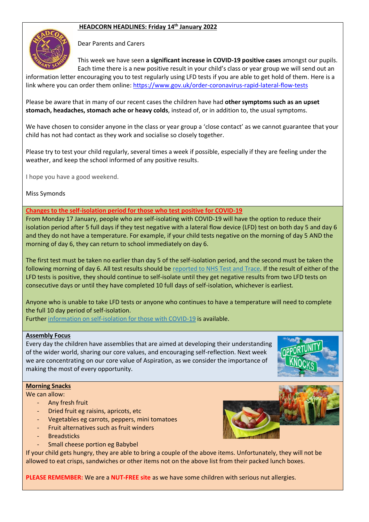## **HEADCORN HEADLINES: Friday 14th January 2022**



Dear Parents and Carers

This week we have seen **a significant increase in COVID-19 positive cases** amongst our pupils. Each time there is a new positive result in your child's class or year group we will send out an

information letter encouraging you to test regularly using LFD tests if you are able to get hold of them. Here is a link where you can order them online:<https://www.gov.uk/order-coronavirus-rapid-lateral-flow-tests>

Please be aware that in many of our recent cases the children have had **other symptoms such as an upset stomach, headaches, stomach ache or heavy colds**, instead of, or in addition to, the usual symptoms.

We have chosen to consider anyone in the class or year group a 'close contact' as we cannot guarantee that your child has not had contact as they work and socialise so closely together.

Please try to test your child regularly, several times a week if possible, especially if they are feeling under the weather, and keep the school informed of any positive results.

I hope you have a good weekend.

Miss Symonds

**Changes to the self-isolation period for those who test positive for COVID-19**

From Monday 17 January, people who are self-isolating with COVID-19 will have the option to reduce their isolation period after 5 full days if they test negative with a lateral flow device (LFD) test on both day 5 and day 6 and they do not have a temperature. For example, if your child tests negative on the morning of day 5 AND the morning of day 6, they can return to school immediately on day 6.

The first test must be taken no earlier than day 5 of the self-isolation period, and the second must be taken the following morning of day 6. All test results should be [reported to NHS Test and Trace.](https://www.gov.uk/report-covid19-result?utm_source=14%20January%202022%20C19&utm_medium=Daily%20Email%20C19&utm_campaign=DfE%20C19) If the result of either of the LFD tests is positive, they should continue to self-isolate until they get negative results from two LFD tests on consecutive days or until they have completed 10 full days of self-isolation, whichever is earliest.

Anyone who is unable to take LFD tests or anyone who continues to have a temperature will need to complete the full 10 day period of self-isolation.

Furthe[r information on self-isolation for those with COVID-19](https://www.gov.uk/government/news/self-isolation-for-those-with-covid-19-can-end-after-five-full-days-following-two-negative-lfd-tests?utm_source=14%20January%202022%20C19&utm_medium=Daily%20Email%20C19&utm_campaign=DfE%20C19) is available.

## **Assembly Focus**

Every day the children have assemblies that are aimed at developing their understanding of the wider world, sharing our core values, and encouraging self-reflection. Next week we are concentrating on our core value of Aspiration, as we consider the importance of making the most of every opportunity.



## **Morning Snacks**

We can allow:

- Any fresh fruit
- Dried fruit eg raisins, apricots, etc
- Vegetables eg carrots, peppers, mini tomatoes
- Fruit alternatives such as fruit winders
- **Breadsticks**
- Small cheese portion eg Babybel

If your child gets hungry, they are able to bring a couple of the above items. Unfortunately, they will not be allowed to eat crisps, sandwiches or other items not on the above list from their packed lunch boxes.

**PLEASE REMEMBER:** We are a **NUT-FREE site** as we have some children with serious nut allergies.